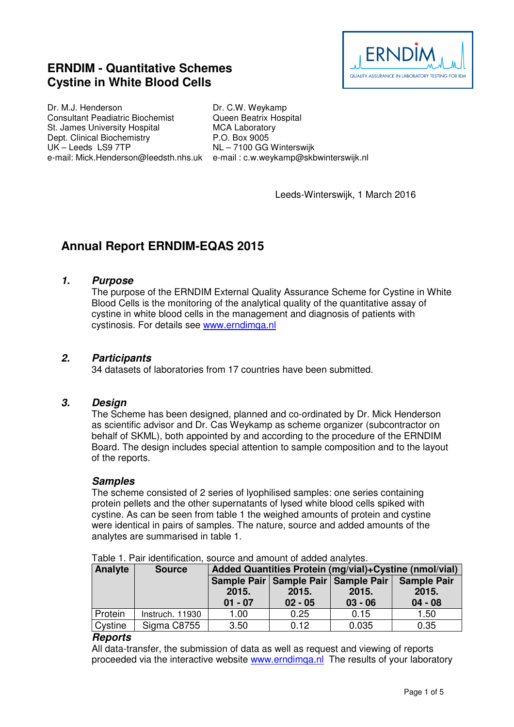# **ERNDIM - Quantitative Schemes Cystine in White Blood Cells**



Dr. M.J. Henderson Consultant Peadiatric Biochemist St. James University Hospital Dept. Clinical Biochemistry UK – Leeds LS9 7TP

e-mail: Mick.Henderson@leedsth.nhs.uk e-mail : c.w.weykamp@skbwinterswijk.nl Dr. C.W. Weykamp Queen Beatrix Hospital MCA Laboratory P.O. Box 9005 NL – 7100 GG Winterswijk

Leeds-Winterswijk, 1 March 2016

# **Annual Report ERNDIM-EQAS 2015**

## **1. Purpose**

The purpose of the ERNDIM External Quality Assurance Scheme for Cystine in White Blood Cells is the monitoring of the analytical quality of the quantitative assay of cystine in white blood cells in the management and diagnosis of patients with cystinosis. For details see www.erndimqa.nl

## **2. Participants**

34 datasets of laboratories from 17 countries have been submitted.

#### **3. Design**

The Scheme has been designed, planned and co-ordinated by Dr. Mick Henderson as scientific advisor and Dr. Cas Weykamp as scheme organizer (subcontractor on behalf of SKML), both appointed by and according to the procedure of the ERNDIM Board. The design includes special attention to sample composition and to the layout of the reports.

#### **Samples**

The scheme consisted of 2 series of lyophilised samples: one series containing protein pellets and the other supernatants of lysed white blood cells spiked with cystine. As can be seen from table 1 the weighed amounts of protein and cystine were identical in pairs of samples. The nature, source and added amounts of the analytes are summarised in table 1.

| Analyte | <b>Source</b>   | Added Quantities Protein (mg/vial)+Cystine (nmol/vial) |                    |                                                                 |                                          |
|---------|-----------------|--------------------------------------------------------|--------------------|-----------------------------------------------------------------|------------------------------------------|
|         |                 | 2015.<br>$01 - 07$                                     | 2015.<br>$02 - 05$ | Sample Pair   Sample Pair   Sample Pair  <br>2015.<br>$03 - 06$ | <b>Sample Pair</b><br>2015.<br>$04 - 08$ |
| Protein | Instruch. 11930 | 1.00                                                   | 0.25               | 0.15                                                            | 1.50                                     |
| Cystine | Sigma C8755     | 3.50                                                   | 0.12               | 0.035                                                           | 0.35                                     |

Table 1. Pair identification, source and amount of added analytes.

#### **Reports**

All data-transfer, the submission of data as well as request and viewing of reports proceeded via the interactive website www.erndimqa.nl The results of your laboratory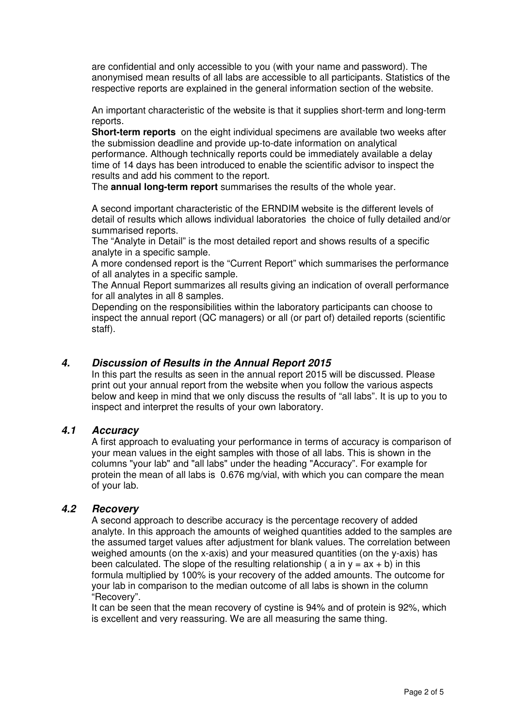are confidential and only accessible to you (with your name and password). The anonymised mean results of all labs are accessible to all participants. Statistics of the respective reports are explained in the general information section of the website.

An important characteristic of the website is that it supplies short-term and long-term reports.

**Short-term reports** on the eight individual specimens are available two weeks after the submission deadline and provide up-to-date information on analytical performance. Although technically reports could be immediately available a delay time of 14 days has been introduced to enable the scientific advisor to inspect the results and add his comment to the report.

The **annual long-term report** summarises the results of the whole year.

A second important characteristic of the ERNDIM website is the different levels of detail of results which allows individual laboratories the choice of fully detailed and/or summarised reports.

The "Analyte in Detail" is the most detailed report and shows results of a specific analyte in a specific sample.

A more condensed report is the "Current Report" which summarises the performance of all analytes in a specific sample.

The Annual Report summarizes all results giving an indication of overall performance for all analytes in all 8 samples.

Depending on the responsibilities within the laboratory participants can choose to inspect the annual report (QC managers) or all (or part of) detailed reports (scientific staff).

# **4. Discussion of Results in the Annual Report 2015**

In this part the results as seen in the annual report 2015 will be discussed. Please print out your annual report from the website when you follow the various aspects below and keep in mind that we only discuss the results of "all labs". It is up to you to inspect and interpret the results of your own laboratory.

#### **4.1 Accuracy**

A first approach to evaluating your performance in terms of accuracy is comparison of your mean values in the eight samples with those of all labs. This is shown in the columns "your lab" and "all labs" under the heading "Accuracy". For example for protein the mean of all labs is 0.676 mg/vial, with which you can compare the mean of your lab.

## **4.2 Recovery**

A second approach to describe accuracy is the percentage recovery of added analyte. In this approach the amounts of weighed quantities added to the samples are the assumed target values after adjustment for blank values. The correlation between weighed amounts (on the x-axis) and your measured quantities (on the y-axis) has been calculated. The slope of the resulting relationship ( $a$  in  $y = ax + b$ ) in this formula multiplied by 100% is your recovery of the added amounts. The outcome for your lab in comparison to the median outcome of all labs is shown in the column "Recovery".

It can be seen that the mean recovery of cystine is 94% and of protein is 92%, which is excellent and very reassuring. We are all measuring the same thing.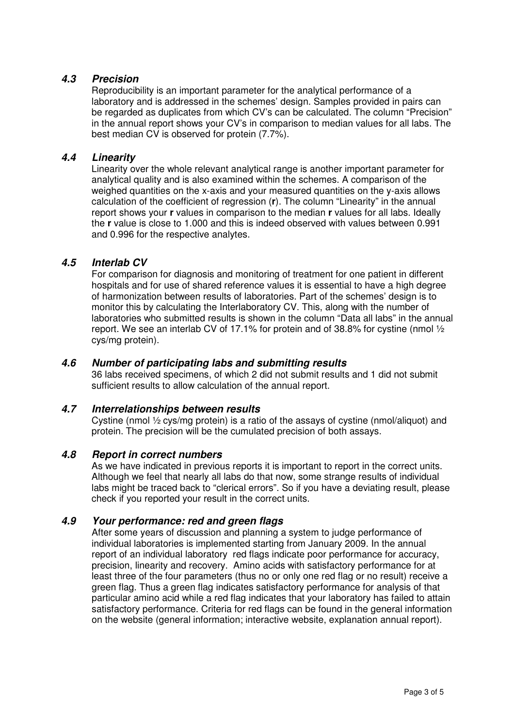# **4.3 Precision**

Reproducibility is an important parameter for the analytical performance of a laboratory and is addressed in the schemes' design. Samples provided in pairs can be regarded as duplicates from which CV's can be calculated. The column "Precision" in the annual report shows your CV's in comparison to median values for all labs. The best median CV is observed for protein (7.7%).

#### **4.4 Linearity**

Linearity over the whole relevant analytical range is another important parameter for analytical quality and is also examined within the schemes. A comparison of the weighed quantities on the x-axis and your measured quantities on the y-axis allows calculation of the coefficient of regression (**r**). The column "Linearity" in the annual report shows your **r** values in comparison to the median **r** values for all labs. Ideally the **r** value is close to 1.000 and this is indeed observed with values between 0.991 and 0.996 for the respective analytes.

## **4.5 Interlab CV**

For comparison for diagnosis and monitoring of treatment for one patient in different hospitals and for use of shared reference values it is essential to have a high degree of harmonization between results of laboratories. Part of the schemes' design is to monitor this by calculating the Interlaboratory CV. This, along with the number of laboratories who submitted results is shown in the column "Data all labs" in the annual report. We see an interlab CV of 17.1% for protein and of 38.8% for cystine (nmol  $\frac{1}{2}$ ) cys/mg protein).

#### **4.6 Number of participating labs and submitting results**

36 labs received specimens, of which 2 did not submit results and 1 did not submit sufficient results to allow calculation of the annual report.

#### **4.7 Interrelationships between results**

Cystine (nmol ½ cys/mg protein) is a ratio of the assays of cystine (nmol/aliquot) and protein. The precision will be the cumulated precision of both assays.

#### **4.8 Report in correct numbers**

As we have indicated in previous reports it is important to report in the correct units. Although we feel that nearly all labs do that now, some strange results of individual labs might be traced back to "clerical errors". So if you have a deviating result, please check if you reported your result in the correct units.

# **4.9 Your performance: red and green flags**

After some years of discussion and planning a system to judge performance of individual laboratories is implemented starting from January 2009. In the annual report of an individual laboratory red flags indicate poor performance for accuracy, precision, linearity and recovery. Amino acids with satisfactory performance for at least three of the four parameters (thus no or only one red flag or no result) receive a green flag. Thus a green flag indicates satisfactory performance for analysis of that particular amino acid while a red flag indicates that your laboratory has failed to attain satisfactory performance. Criteria for red flags can be found in the general information on the website (general information; interactive website, explanation annual report).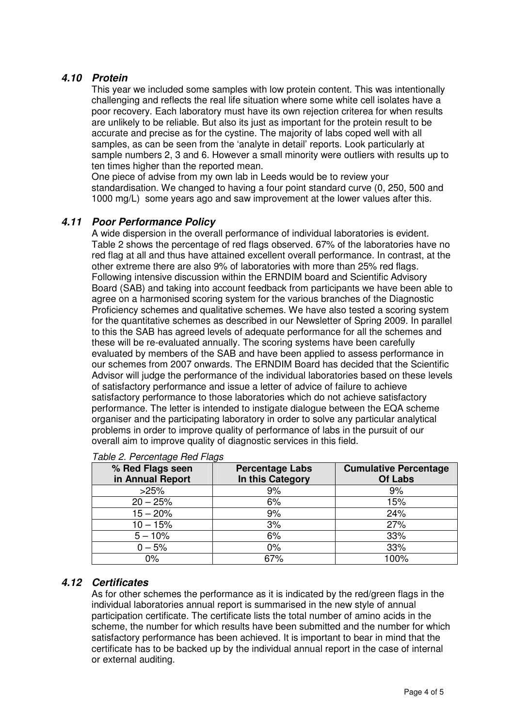# **4.10 Protein**

This year we included some samples with low protein content. This was intentionally challenging and reflects the real life situation where some white cell isolates have a poor recovery. Each laboratory must have its own rejection criterea for when results are unlikely to be reliable. But also its just as important for the protein result to be accurate and precise as for the cystine. The majority of labs coped well with all samples, as can be seen from the 'analyte in detail' reports. Look particularly at sample numbers 2, 3 and 6. However a small minority were outliers with results up to ten times higher than the reported mean.

One piece of advise from my own lab in Leeds would be to review your standardisation. We changed to having a four point standard curve (0, 250, 500 and 1000 mg/L) some years ago and saw improvement at the lower values after this.

# **4.11 Poor Performance Policy**

A wide dispersion in the overall performance of individual laboratories is evident. Table 2 shows the percentage of red flags observed. 67% of the laboratories have no red flag at all and thus have attained excellent overall performance. In contrast, at the other extreme there are also 9% of laboratories with more than 25% red flags. Following intensive discussion within the ERNDIM board and Scientific Advisory Board (SAB) and taking into account feedback from participants we have been able to agree on a harmonised scoring system for the various branches of the Diagnostic Proficiency schemes and qualitative schemes. We have also tested a scoring system for the quantitative schemes as described in our Newsletter of Spring 2009. In parallel to this the SAB has agreed levels of adequate performance for all the schemes and these will be re-evaluated annually. The scoring systems have been carefully evaluated by members of the SAB and have been applied to assess performance in our schemes from 2007 onwards. The ERNDIM Board has decided that the Scientific Advisor will judge the performance of the individual laboratories based on these levels of satisfactory performance and issue a letter of advice of failure to achieve satisfactory performance to those laboratories which do not achieve satisfactory performance. The letter is intended to instigate dialogue between the EQA scheme organiser and the participating laboratory in order to solve any particular analytical problems in order to improve quality of performance of labs in the pursuit of our overall aim to improve quality of diagnostic services in this field.

| % Red Flags seen<br>in Annual Report | <b>Percentage Labs</b><br>In this Category | <b>Cumulative Percentage</b><br>Of Labs |
|--------------------------------------|--------------------------------------------|-----------------------------------------|
| >25%                                 | 9%                                         | 9%                                      |
| $20 - 25%$                           | 6%                                         | 15%                                     |
| $15 - 20%$                           | 9%                                         | 24%                                     |
| $10 - 15%$                           | 3%                                         | 27%                                     |
| $5 - 10%$                            | 6%                                         | 33%                                     |
| $0 - 5%$                             | 0%                                         | 33%                                     |
| $0\%$                                | 67%                                        | 100%                                    |

#### Table 2. Percentage Red Flags

# **4.12 Certificates**

As for other schemes the performance as it is indicated by the red/green flags in the individual laboratories annual report is summarised in the new style of annual participation certificate. The certificate lists the total number of amino acids in the scheme, the number for which results have been submitted and the number for which satisfactory performance has been achieved. It is important to bear in mind that the certificate has to be backed up by the individual annual report in the case of internal or external auditing.